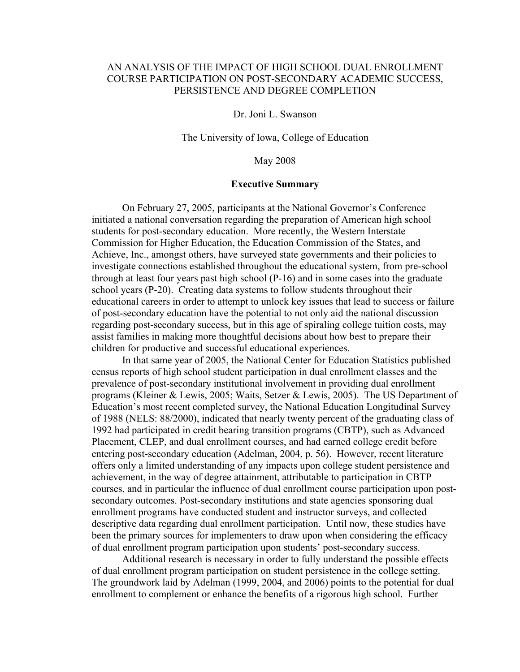# AN ANALYSIS OF THE IMPACT OF HIGH SCHOOL DUAL ENROLLMENT COURSE PARTICIPATION ON POST-SECONDARY ACADEMIC SUCCESS, PERSISTENCE AND DEGREE COMPLETION

Dr. Joni L. Swanson

The University of Iowa, College of Education

May 2008

## **Executive Summary**

On February 27, 2005, participants at the National Governor's Conference initiated a national conversation regarding the preparation of American high school students for post-secondary education. More recently, the Western Interstate Commission for Higher Education, the Education Commission of the States, and Achieve, Inc., amongst others, have surveyed state governments and their policies to investigate connections established throughout the educational system, from pre-school through at least four years past high school (P-16) and in some cases into the graduate school years (P-20). Creating data systems to follow students throughout their educational careers in order to attempt to unlock key issues that lead to success or failure of post-secondary education have the potential to not only aid the national discussion regarding post-secondary success, but in this age of spiraling college tuition costs, may assist families in making more thoughtful decisions about how best to prepare their children for productive and successful educational experiences.

In that same year of 2005, the National Center for Education Statistics published census reports of high school student participation in dual enrollment classes and the prevalence of post-secondary institutional involvement in providing dual enrollment programs (Kleiner & Lewis, 2005; Waits, Setzer & Lewis, 2005). The US Department of Education's most recent completed survey, the National Education Longitudinal Survey of 1988 (NELS: 88/2000), indicated that nearly twenty percent of the graduating class of 1992 had participated in credit bearing transition programs (CBTP), such as Advanced Placement, CLEP, and dual enrollment courses, and had earned college credit before entering post-secondary education (Adelman, 2004, p. 56). However, recent literature offers only a limited understanding of any impacts upon college student persistence and achievement, in the way of degree attainment, attributable to participation in CBTP courses, and in particular the influence of dual enrollment course participation upon postsecondary outcomes. Post-secondary institutions and state agencies sponsoring dual enrollment programs have conducted student and instructor surveys, and collected descriptive data regarding dual enrollment participation. Until now, these studies have been the primary sources for implementers to draw upon when considering the efficacy of dual enrollment program participation upon students' post-secondary success.

Additional research is necessary in order to fully understand the possible effects of dual enrollment program participation on student persistence in the college setting. The groundwork laid by Adelman (1999, 2004, and 2006) points to the potential for dual enrollment to complement or enhance the benefits of a rigorous high school. Further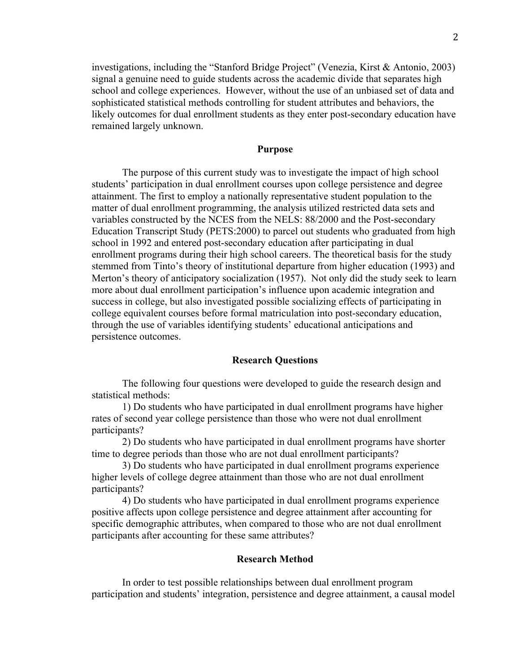investigations, including the "Stanford Bridge Project" (Venezia, Kirst & Antonio, 2003) signal a genuine need to guide students across the academic divide that separates high school and college experiences. However, without the use of an unbiased set of data and sophisticated statistical methods controlling for student attributes and behaviors, the likely outcomes for dual enrollment students as they enter post-secondary education have remained largely unknown.

# **Purpose**

The purpose of this current study was to investigate the impact of high school students' participation in dual enrollment courses upon college persistence and degree attainment. The first to employ a nationally representative student population to the matter of dual enrollment programming, the analysis utilized restricted data sets and variables constructed by the NCES from the NELS: 88/2000 and the Post-secondary Education Transcript Study (PETS:2000) to parcel out students who graduated from high school in 1992 and entered post-secondary education after participating in dual enrollment programs during their high school careers. The theoretical basis for the study stemmed from Tinto's theory of institutional departure from higher education (1993) and Merton's theory of anticipatory socialization (1957). Not only did the study seek to learn more about dual enrollment participation's influence upon academic integration and success in college, but also investigated possible socializing effects of participating in college equivalent courses before formal matriculation into post-secondary education, through the use of variables identifying students' educational anticipations and persistence outcomes.

## **Research Questions**

The following four questions were developed to guide the research design and statistical methods:

1) Do students who have participated in dual enrollment programs have higher rates of second year college persistence than those who were not dual enrollment participants?

2) Do students who have participated in dual enrollment programs have shorter time to degree periods than those who are not dual enrollment participants?

3) Do students who have participated in dual enrollment programs experience higher levels of college degree attainment than those who are not dual enrollment participants?

4) Do students who have participated in dual enrollment programs experience positive affects upon college persistence and degree attainment after accounting for specific demographic attributes, when compared to those who are not dual enrollment participants after accounting for these same attributes?

## **Research Method**

In order to test possible relationships between dual enrollment program participation and students' integration, persistence and degree attainment, a causal model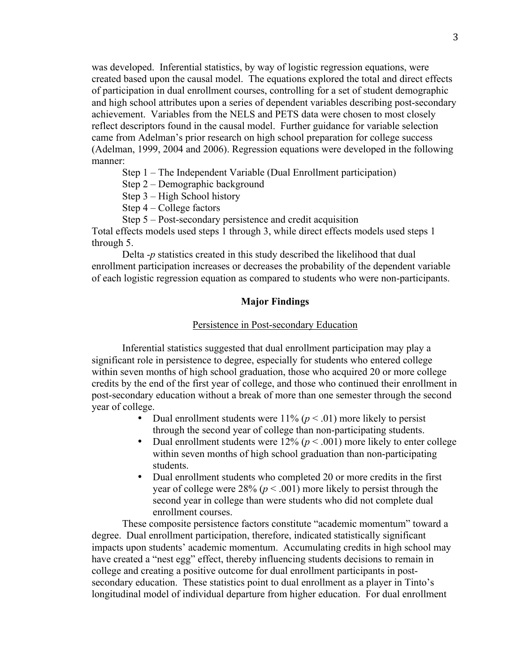was developed. Inferential statistics, by way of logistic regression equations, were created based upon the causal model. The equations explored the total and direct effects of participation in dual enrollment courses, controlling for a set of student demographic and high school attributes upon a series of dependent variables describing post-secondary achievement. Variables from the NELS and PETS data were chosen to most closely reflect descriptors found in the causal model. Further guidance for variable selection came from Adelman's prior research on high school preparation for college success (Adelman, 1999, 2004 and 2006). Regression equations were developed in the following manner:

Step 1 – The Independent Variable (Dual Enrollment participation)

Step 2 – Demographic background

- Step 3 High School history
- Step 4 College factors
- Step 5 Post-secondary persistence and credit acquisition

Total effects models used steps 1 through 3, while direct effects models used steps 1 through 5.

Delta -*p* statistics created in this study described the likelihood that dual enrollment participation increases or decreases the probability of the dependent variable of each logistic regression equation as compared to students who were non-participants.

# **Major Findings**

## Persistence in Post-secondary Education

Inferential statistics suggested that dual enrollment participation may play a significant role in persistence to degree, especially for students who entered college within seven months of high school graduation, those who acquired 20 or more college credits by the end of the first year of college, and those who continued their enrollment in post-secondary education without a break of more than one semester through the second year of college.

- Dual enrollment students were  $11\% (p < .01)$  more likely to persist through the second year of college than non-participating students.
- Dual enrollment students were  $12\%$  ( $p < .001$ ) more likely to enter college within seven months of high school graduation than non-participating students.
- Dual enrollment students who completed 20 or more credits in the first year of college were  $28\%$  ( $p < .001$ ) more likely to persist through the second year in college than were students who did not complete dual enrollment courses.

These composite persistence factors constitute "academic momentum" toward a degree. Dual enrollment participation, therefore, indicated statistically significant impacts upon students' academic momentum. Accumulating credits in high school may have created a "nest egg" effect, thereby influencing students decisions to remain in college and creating a positive outcome for dual enrollment participants in postsecondary education. These statistics point to dual enrollment as a player in Tinto's longitudinal model of individual departure from higher education. For dual enrollment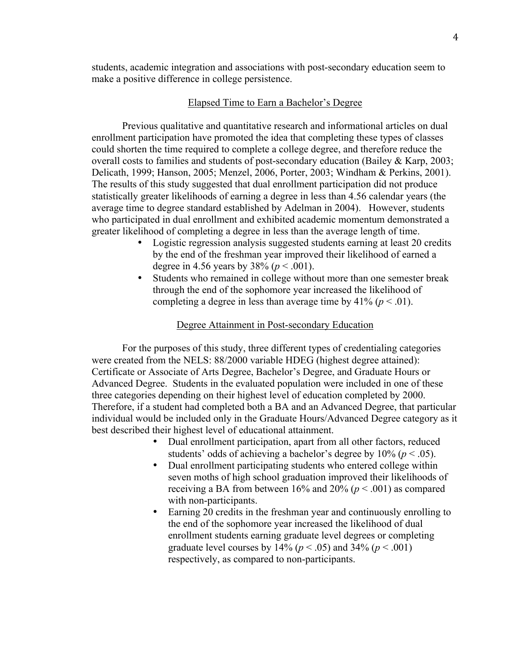students, academic integration and associations with post-secondary education seem to make a positive difference in college persistence.

# Elapsed Time to Earn a Bachelor's Degree

Previous qualitative and quantitative research and informational articles on dual enrollment participation have promoted the idea that completing these types of classes could shorten the time required to complete a college degree, and therefore reduce the overall costs to families and students of post-secondary education (Bailey & Karp, 2003; Delicath, 1999; Hanson, 2005; Menzel, 2006, Porter, 2003; Windham & Perkins, 2001). The results of this study suggested that dual enrollment participation did not produce statistically greater likelihoods of earning a degree in less than 4.56 calendar years (the average time to degree standard established by Adelman in 2004). However, students who participated in dual enrollment and exhibited academic momentum demonstrated a greater likelihood of completing a degree in less than the average length of time.

- Logistic regression analysis suggested students earning at least 20 credits by the end of the freshman year improved their likelihood of earned a degree in 4.56 years by  $38\% (p < .001)$ .
- Students who remained in college without more than one semester break through the end of the sophomore year increased the likelihood of completing a degree in less than average time by  $41\%$  ( $p < .01$ ).

## Degree Attainment in Post-secondary Education

For the purposes of this study, three different types of credentialing categories were created from the NELS: 88/2000 variable HDEG (highest degree attained): Certificate or Associate of Arts Degree, Bachelor's Degree, and Graduate Hours or Advanced Degree. Students in the evaluated population were included in one of these three categories depending on their highest level of education completed by 2000. Therefore, if a student had completed both a BA and an Advanced Degree, that particular individual would be included only in the Graduate Hours/Advanced Degree category as it best described their highest level of educational attainment.

- Dual enrollment participation, apart from all other factors, reduced students' odds of achieving a bachelor's degree by  $10\%$  ( $p < .05$ ).
- Dual enrollment participating students who entered college within seven moths of high school graduation improved their likelihoods of receiving a BA from between  $16\%$  and  $20\%$  ( $p < .001$ ) as compared with non-participants.
- Earning 20 credits in the freshman year and continuously enrolling to the end of the sophomore year increased the likelihood of dual enrollment students earning graduate level degrees or completing graduate level courses by  $14\% (p < .05)$  and  $34\% (p < .001)$ respectively, as compared to non-participants.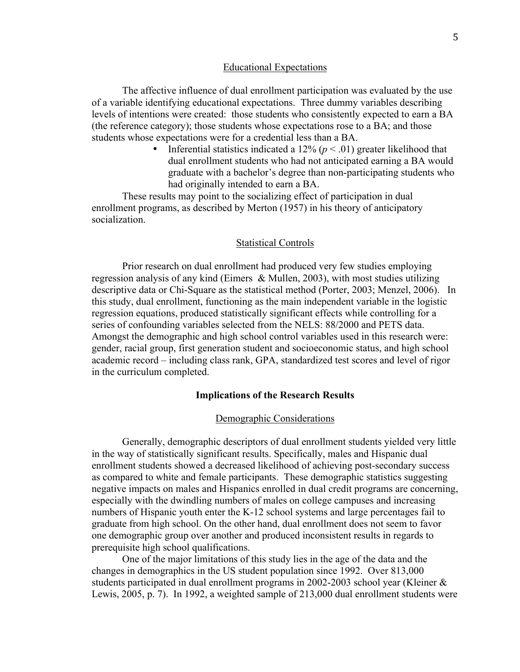# Educational Expectations

The affective influence of dual enrollment participation was evaluated by the use of a variable identifying educational expectations. Three dummy variables describing levels of intentions were created: those students who consistently expected to earn a BA (the reference category); those students whose expectations rose to a BA; and those students whose expectations were for a credential less than a BA.

> • Inferential statistics indicated a  $12\%$  ( $p < .01$ ) greater likelihood that dual enrollment students who had not anticipated earning a BA would graduate with a bachelor's degree than non-participating students who had originally intended to earn a BA.

These results may point to the socializing effect of participation in dual enrollment programs, as described by Merton (1957) in his theory of anticipatory socialization.

### Statistical Controls

Prior research on dual enrollment had produced very few studies employing regression analysis of any kind (Eimers & Mullen, 2003), with most studies utilizing descriptive data or Chi-Square as the statistical method (Porter, 2003; Menzel, 2006). In this study, dual enrollment, functioning as the main independent variable in the logistic regression equations, produced statistically significant effects while controlling for a series of confounding variables selected from the NELS: 88/2000 and PETS data. Amongst the demographic and high school control variables used in this research were: gender, racial group, first generation student and socioeconomic status, and high school academic record – including class rank, GPA, standardized test scores and level of rigor in the curriculum completed.

## **Implications of the Research Results**

#### Demographic Considerations

Generally, demographic descriptors of dual enrollment students yielded very little in the way of statistically significant results. Specifically, males and Hispanic dual enrollment students showed a decreased likelihood of achieving post-secondary success as compared to white and female participants. These demographic statistics suggesting negative impacts on males and Hispanics enrolled in dual credit programs are concerning, especially with the dwindling numbers of males on college campuses and increasing numbers of Hispanic youth enter the K-12 school systems and large percentages fail to graduate from high school. On the other hand, dual enrollment does not seem to favor one demographic group over another and produced inconsistent results in regards to prerequisite high school qualifications.

One of the major limitations of this study lies in the age of the data and the changes in demographics in the US student population since 1992. Over 813,000 students participated in dual enrollment programs in 2002-2003 school year (Kleiner & Lewis, 2005, p. 7). In 1992, a weighted sample of 213,000 dual enrollment students were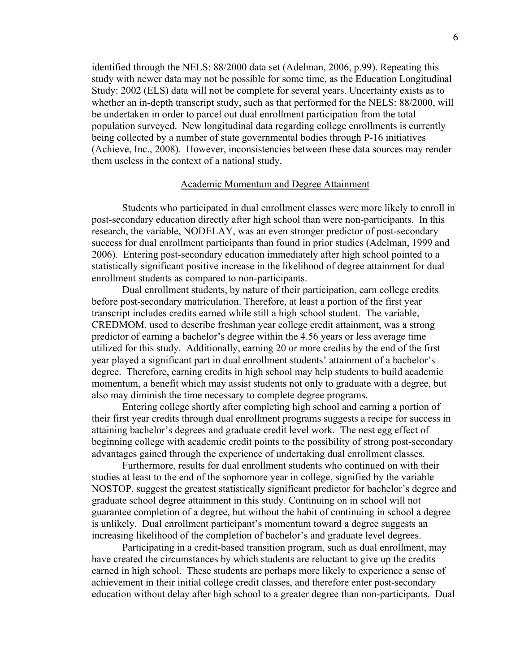identified through the NELS: 88/2000 data set (Adelman, 2006, p.99). Repeating this study with newer data may not be possible for some time, as the Education Longitudinal Study: 2002 (ELS) data will not be complete for several years. Uncertainty exists as to whether an in-depth transcript study, such as that performed for the NELS: 88/2000, will be undertaken in order to parcel out dual enrollment participation from the total population surveyed. New longitudinal data regarding college enrollments is currently being collected by a number of state governmental bodies through P-16 initiatives (Achieve, Inc., 2008). However, inconsistencies between these data sources may render them useless in the context of a national study.

## Academic Momentum and Degree Attainment

Students who participated in dual enrollment classes were more likely to enroll in post-secondary education directly after high school than were non-participants. In this research, the variable, NODELAY, was an even stronger predictor of post-secondary success for dual enrollment participants than found in prior studies (Adelman, 1999 and 2006). Entering post-secondary education immediately after high school pointed to a statistically significant positive increase in the likelihood of degree attainment for dual enrollment students as compared to non-participants.

Dual enrollment students, by nature of their participation, earn college credits before post-secondary matriculation. Therefore, at least a portion of the first year transcript includes credits earned while still a high school student. The variable, CREDMOM, used to describe freshman year college credit attainment, was a strong predictor of earning a bachelor's degree within the 4.56 years or less average time utilized for this study. Additionally, earning 20 or more credits by the end of the first year played a significant part in dual enrollment students' attainment of a bachelor's degree. Therefore, earning credits in high school may help students to build academic momentum, a benefit which may assist students not only to graduate with a degree, but also may diminish the time necessary to complete degree programs.

Entering college shortly after completing high school and earning a portion of their first year credits through dual enrollment programs suggests a recipe for success in attaining bachelor's degrees and graduate credit level work. The nest egg effect of beginning college with academic credit points to the possibility of strong post-secondary advantages gained through the experience of undertaking dual enrollment classes.

Furthermore, results for dual enrollment students who continued on with their studies at least to the end of the sophomore year in college, signified by the variable NOSTOP, suggest the greatest statistically significant predictor for bachelor's degree and graduate school degree attainment in this study. Continuing on in school will not guarantee completion of a degree, but without the habit of continuing in school a degree is unlikely. Dual enrollment participant's momentum toward a degree suggests an increasing likelihood of the completion of bachelor's and graduate level degrees.

Participating in a credit-based transition program, such as dual enrollment, may have created the circumstances by which students are reluctant to give up the credits earned in high school. These students are perhaps more likely to experience a sense of achievement in their initial college credit classes, and therefore enter post-secondary education without delay after high school to a greater degree than non-participants. Dual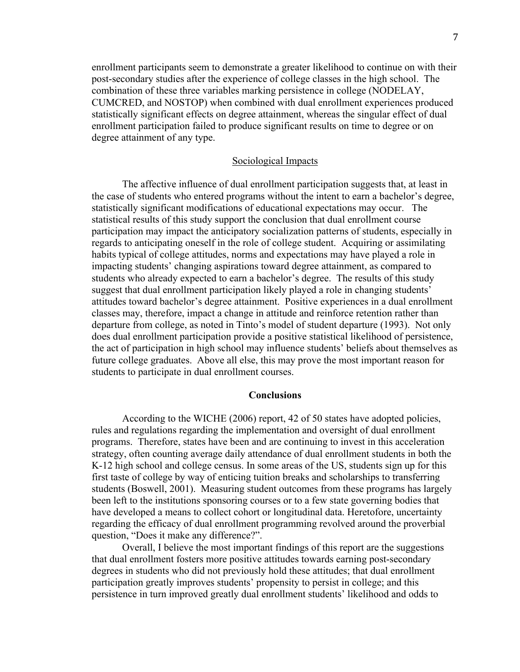enrollment participants seem to demonstrate a greater likelihood to continue on with their post-secondary studies after the experience of college classes in the high school. The combination of these three variables marking persistence in college (NODELAY, CUMCRED, and NOSTOP) when combined with dual enrollment experiences produced statistically significant effects on degree attainment, whereas the singular effect of dual enrollment participation failed to produce significant results on time to degree or on degree attainment of any type.

## Sociological Impacts

The affective influence of dual enrollment participation suggests that, at least in the case of students who entered programs without the intent to earn a bachelor's degree, statistically significant modifications of educational expectations may occur. The statistical results of this study support the conclusion that dual enrollment course participation may impact the anticipatory socialization patterns of students, especially in regards to anticipating oneself in the role of college student. Acquiring or assimilating habits typical of college attitudes, norms and expectations may have played a role in impacting students' changing aspirations toward degree attainment, as compared to students who already expected to earn a bachelor's degree. The results of this study suggest that dual enrollment participation likely played a role in changing students' attitudes toward bachelor's degree attainment. Positive experiences in a dual enrollment classes may, therefore, impact a change in attitude and reinforce retention rather than departure from college, as noted in Tinto's model of student departure (1993). Not only does dual enrollment participation provide a positive statistical likelihood of persistence, the act of participation in high school may influence students' beliefs about themselves as future college graduates. Above all else, this may prove the most important reason for students to participate in dual enrollment courses.

## **Conclusions**

According to the WICHE (2006) report, 42 of 50 states have adopted policies, rules and regulations regarding the implementation and oversight of dual enrollment programs. Therefore, states have been and are continuing to invest in this acceleration strategy, often counting average daily attendance of dual enrollment students in both the K-12 high school and college census. In some areas of the US, students sign up for this first taste of college by way of enticing tuition breaks and scholarships to transferring students (Boswell, 2001). Measuring student outcomes from these programs has largely been left to the institutions sponsoring courses or to a few state governing bodies that have developed a means to collect cohort or longitudinal data. Heretofore, uncertainty regarding the efficacy of dual enrollment programming revolved around the proverbial question, "Does it make any difference?".

Overall, I believe the most important findings of this report are the suggestions that dual enrollment fosters more positive attitudes towards earning post-secondary degrees in students who did not previously hold these attitudes; that dual enrollment participation greatly improves students' propensity to persist in college; and this persistence in turn improved greatly dual enrollment students' likelihood and odds to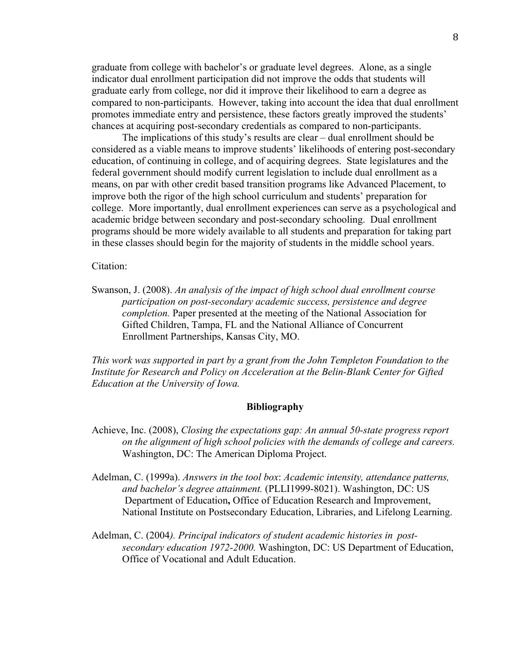graduate from college with bachelor's or graduate level degrees. Alone, as a single indicator dual enrollment participation did not improve the odds that students will graduate early from college, nor did it improve their likelihood to earn a degree as compared to non-participants. However, taking into account the idea that dual enrollment promotes immediate entry and persistence, these factors greatly improved the students' chances at acquiring post-secondary credentials as compared to non-participants.

The implications of this study's results are clear – dual enrollment should be considered as a viable means to improve students' likelihoods of entering post-secondary education, of continuing in college, and of acquiring degrees. State legislatures and the federal government should modify current legislation to include dual enrollment as a means, on par with other credit based transition programs like Advanced Placement, to improve both the rigor of the high school curriculum and students' preparation for college. More importantly, dual enrollment experiences can serve as a psychological and academic bridge between secondary and post-secondary schooling. Dual enrollment programs should be more widely available to all students and preparation for taking part in these classes should begin for the majority of students in the middle school years.

Citation:

Swanson, J. (2008). *An analysis of the impact of high school dual enrollment course participation on post-secondary academic success, persistence and degree completion.* Paper presented at the meeting of the National Association for Gifted Children, Tampa, FL and the National Alliance of Concurrent Enrollment Partnerships, Kansas City, MO.

*This work was supported in part by a grant from the John Templeton Foundation to the Institute for Research and Policy on Acceleration at the Belin-Blank Center for Gifted Education at the University of Iowa.*

# **Bibliography**

- Achieve, Inc. (2008), *Closing the expectations gap: An annual 50-state progress report on the alignment of high school policies with the demands of college and careers.* Washington, DC: The American Diploma Project.
- Adelman, C. (1999a). *Answers in the tool box*: *Academic intensity, attendance patterns, and bachelor's degree attainment.* (PLLI1999-8021). Washington, DC: US Department of Education**,** Office of Education Research and Improvement, National Institute on Postsecondary Education, Libraries, and Lifelong Learning.
- Adelman, C. (2004*). Principal indicators of student academic histories in postsecondary education 1972-2000.* Washington, DC: US Department of Education, Office of Vocational and Adult Education.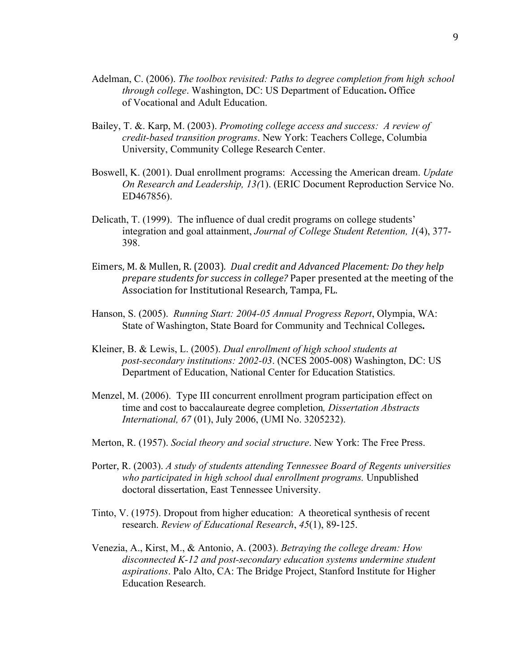- Adelman, C. (2006). *The toolbox revisited: Paths to degree completion from high school through college*. Washington, DC: US Department of Education**.** Office of Vocational and Adult Education.
- Bailey, T. &. Karp, M. (2003). *Promoting college access and success: A review of credit-based transition programs*. New York: Teachers College, Columbia University, Community College Research Center.
- Boswell, K. (2001). Dual enrollment programs: Accessing the American dream. *Update On Research and Leadership, 13(*1). (ERIC Document Reproduction Service No. ED467856).
- Delicath, T. (1999). The influence of dual credit programs on college students' integration and goal attainment, *Journal of College Student Retention, 1*(4), 377- 398.
- Eimers, M. & Mullen, R. (2003)*. Dual credit and Advanced Placement: Do they help prepare students for success in college?* Paper presented at the meeting of the Association for Institutional Research, Tampa, FL.
- Hanson, S. (2005). *Running Start: 2004-05 Annual Progress Report*, Olympia, WA: State of Washington, State Board for Community and Technical Colleges**.**
- Kleiner, B. & Lewis, L. (2005). *Dual enrollment of high school students at post-secondary institutions: 2002-03*. (NCES 2005-008) Washington, DC: US Department of Education, National Center for Education Statistics.
- Menzel, M. (2006). Type III concurrent enrollment program participation effect on time and cost to baccalaureate degree completion*, Dissertation Abstracts International, 67* (01), July 2006, (UMI No. 3205232).
- Merton, R. (1957). *Social theory and social structure*. New York: The Free Press.
- Porter, R. (2003). *A study of students attending Tennessee Board of Regents universities who participated in high school dual enrollment programs.* Unpublished doctoral dissertation, East Tennessee University.
- Tinto, V. (1975). Dropout from higher education: A theoretical synthesis of recent research. *Review of Educational Research*, *45*(1), 89-125.
- Venezia, A., Kirst, M., & Antonio, A. (2003). *Betraying the college dream: How disconnected K-12 and post-secondary education systems undermine student aspirations*. Palo Alto, CA: The Bridge Project, Stanford Institute for Higher Education Research.